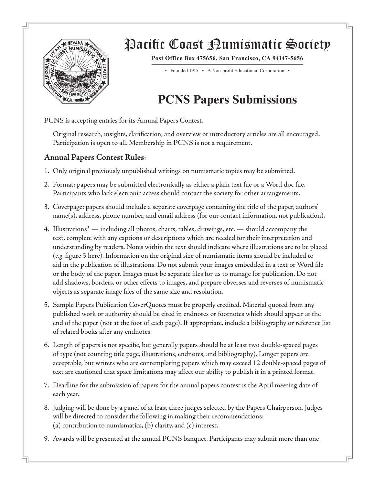

## Pacific Coast Bumismatic Society

**Post Office Box 475656, San Francisco, CA 94147-5656**

• Founded 1915 • A Non-profit Educational Corporation •

## **PCNS Papers Submissions**

PCNS is accepting entries for its Annual Papers Contest.

Original research, insights, clarification, and overview or introductory articles are all encouraged. Participation is open to all. Membership in PCNS is not a requirement.

## **Annual Papers Contest Rules**:

- 1. Only original previously unpublished writings on numismatic topics may be submitted.
- 2. Format: papers may be submitted electronically as either a plain text file or a Word.doc file. Participants who lack electronic access should contact the society for other arrangements.
- 3. Coverpage: papers should include a separate coverpage containing the title of the paper, authors' name(s), address, phone number, and email address (for our contact information, not publication).
- 4. Illustrations\* including all photos, charts, tables, drawings, etc. should accompany the text, complete with any captions or descriptions which are needed for their interpretation and understanding by readers. Notes within the text should indicate where illustrations are to be placed (*e.g*. figure 3 here). Information on the original size of numismatic items should be included to aid in the publication of illustrations. Do not submit your images embedded in a text or Word file or the body of the paper. Images must be separate files for us to manage for publication. Do not add shadows, borders, or other effects to images, and prepare obverses and reverses of numismatic objects as separate image files of the same size and resolution.
- 5. Sample Papers Publication CoverQuotes must be properly credited. Material quoted from any published work or authority should be cited in endnotes or footnotes which should appear at the end of the paper (not at the foot of each page). If appropriate, include a bibliography or reference list of related books after any endnotes.
- 6. Length of papers is not specific, but generally papers should be at least two double-spaced pages of type (not counting title page, illustrations, endnotes, and bibliography). Longer papers are acceptable, but writers who are contemplating papers which may exceed 12 double-spaced pages of text are cautioned that space limitations may affect our ability to publish it in a printed format.
- 7. Deadline for the submission of papers for the annual papers contest is the April meeting date of each year.
- 8. Judging will be done by a panel of at least three judges selected by the Papers Chairperson. Judges will be directed to consider the following in making their recommendations: (a) contribution to numismatics, (b) clarity, and (c) interest.
- 9. Awards will be presented at the annual PCNS banquet. Participants may submit more than one